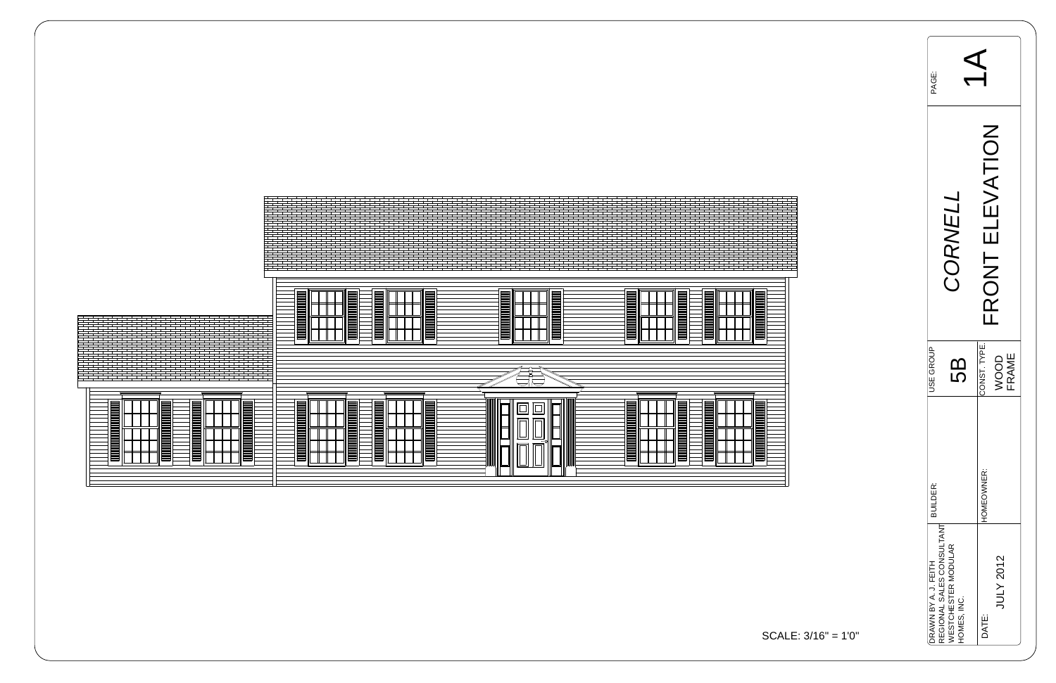

| Li<br>PAGE:                                                                                           |                               |
|-------------------------------------------------------------------------------------------------------|-------------------------------|
| CORNELI                                                                                               | FRONT ELEVATION               |
| <b>JSE GROUP</b><br>5                                                                                 | CONST. TYPE.<br>WOOD<br>FRAME |
| <b>BUILDER:</b>                                                                                       | HOMEOWNER:                    |
| REGIONAL SALES CONSULTANT<br><b><i>NESTCHESTER MODULAR</i></b><br>DRAWN BY A. J. FEITH<br>HOMES, INC. | JULY 2012<br>DATE:            |



$$
ALE: 3/16" = 1'0"
$$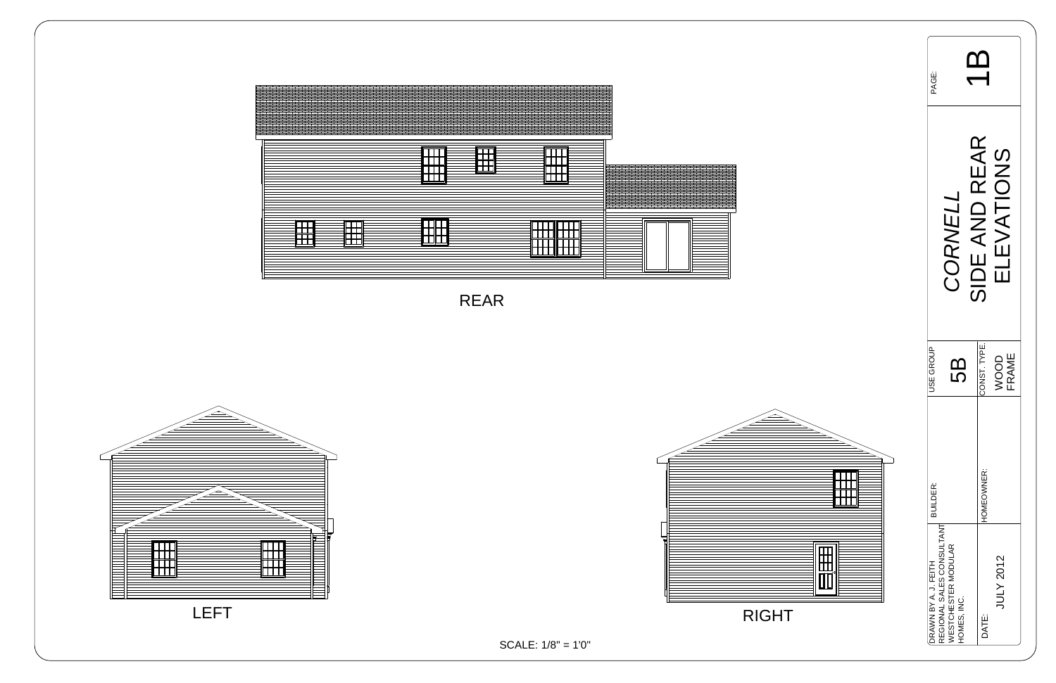| PAGE:                                   |                                                                               |                                  |
|-----------------------------------------|-------------------------------------------------------------------------------|----------------------------------|
|                                         | CORNEL.                                                                       | SIDE AND REAR<br>ELEVATIONS      |
| <b>JSE GROUP</b>                        | 5<br>5                                                                        | CONST. TYPE.<br>FRAME<br>NOOD    |
| <b>BUILDER:</b><br>DRAWN BY A. J. FEITH | REGIONAL SALES CONSULTANT<br><b><i>NESTCHESTER MODULAR</i></b><br>HOMES, INC. | HOMEOWNER:<br>JULY 2012<br>DATE: |





RIGHT





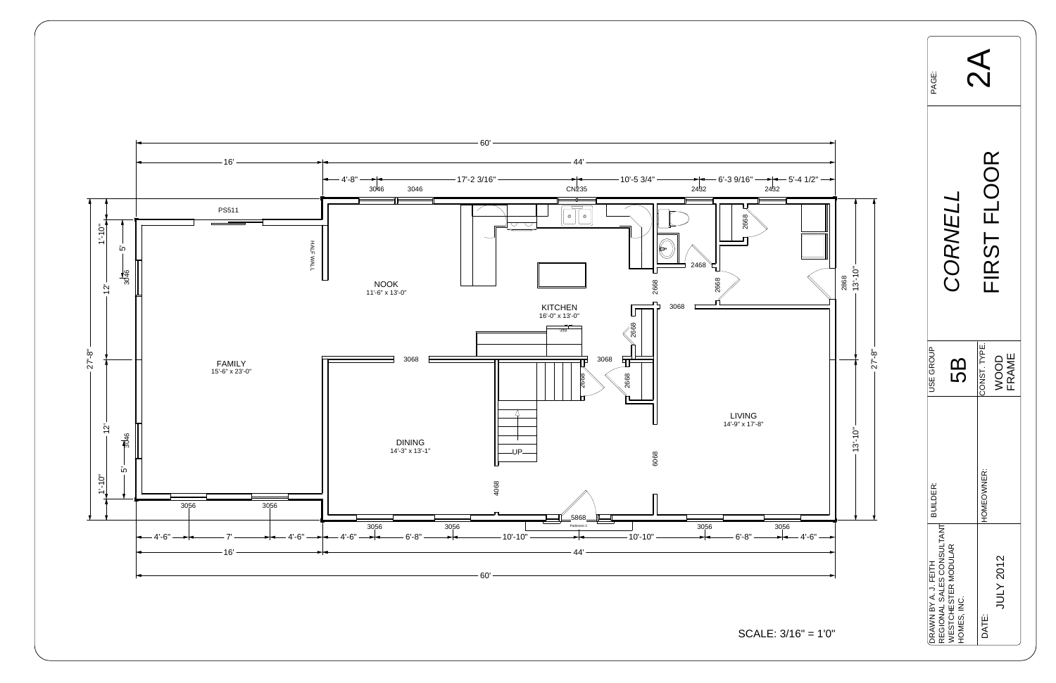